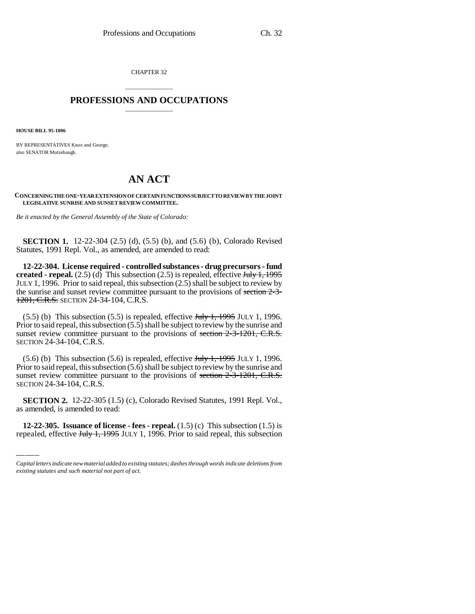CHAPTER 32

## \_\_\_\_\_\_\_\_\_\_\_\_\_\_\_ **PROFESSIONS AND OCCUPATIONS** \_\_\_\_\_\_\_\_\_\_\_\_\_\_\_

**HOUSE BILL 95-1006**

BY REPRESENTATIVES Knox and George; also SENATOR Mutzebaugh.

## **AN ACT**

**CONCERNING THE ONE-YEAR EXTENSION OF CERTAIN FUNCTIONS SUBJECT TO REVIEW BY THE JOINT LEGISLATIVE SUNRISE AND SUNSET REVIEW COMMITTEE.**

*Be it enacted by the General Assembly of the State of Colorado:*

**SECTION 1.** 12-22-304 (2.5) (d), (5.5) (b), and (5.6) (b), Colorado Revised Statutes, 1991 Repl. Vol., as amended, are amended to read:

**12-22-304. License required - controlled substances - drug precursors - fund created - repeal.** (2.5) (d) This subsection (2.5) is repealed, effective  $\frac{\text{July }1, 1995}{\text{ }}$ JULY 1, 1996. Prior to said repeal, this subsection  $(2.5)$  shall be subject to review by the sunrise and sunset review committee pursuant to the provisions of section 2-3- 1201, C.R.S. SECTION 24-34-104, C.R.S.

 $(5.5)$  (b) This subsection  $(5.5)$  is repealed, effective July 1, 1995 JULY 1, 1996. Prior to said repeal, this subsection (5.5) shall be subject to review by the sunrise and sunset review committee pursuant to the provisions of section  $2-3-1201$ , C.R.S. SECTION 24-34-104, C.R.S.

 $(5.6)$  (b) This subsection  $(5.6)$  is repealed, effective  $J_{\text{t}}$ ,  $1995$  JULY 1, 1996. Prior to said repeal, this subsection  $(5.6)$  shall be subject to review by the sunrise and sunset review committee pursuant to the provisions of section 2-3-1201, C.R.S. SECTION 24-34-104, C.R.S.

 **SECTION 2.** 12-22-305 (1.5) (c), Colorado Revised Statutes, 1991 Repl. Vol., as amended, is amended to read:

**12-22-305. Issuance of license - fees - repeal.** (1.5) (c) This subsection (1.5) is repealed, effective  $J_{\text{t}}$  Hy 1, 1995 JULY 1, 1996. Prior to said repeal, this subsection

*Capital letters indicate new material added to existing statutes; dashes through words indicate deletions from existing statutes and such material not part of act.*